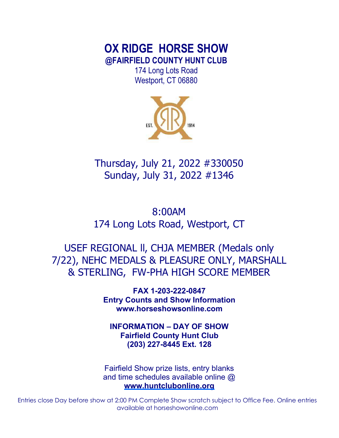# **OX RIDGE HORSE SHOW @FAIRFIELD COUNTY HUNT CLUB**

174 Long Lots Road Westport, CT 06880



Thursday, July 21, 2022 #330050 Sunday, July 31, 2022 #1346

8:00AM 174 Long Lots Road, Westport, CT

USEF REGIONAL ll, CHJA MEMBER (Medals only 7/22), NEHC MEDALS & PLEASURE ONLY, MARSHALL & STERLING, FW-PHA HIGH SCORE MEMBER

> **FAX 1-203-222-0847 Entry Counts and Show Information www.horseshowsonline.com**

**INFORMATION – DAY OF SHOW Fairfield County Hunt Club (203) 227-8445 Ext. 128** 

Fairfield Show prize lists, entry blanks and time schedules available online @ **www.huntclubonline.org** 

Entries close Day before show at 2:00 PM Complete Show scratch subject to Office Fee. Online entries available at horseshowonline.com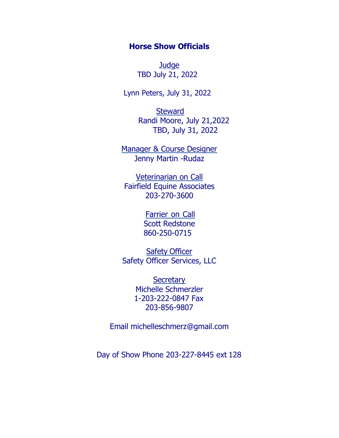# **Horse Show Officials**

**Judge** TBD July 21, 2022

Lynn Peters, July 31, 2022

**Steward** Randi Moore, July 21,2022 TBD, July 31, 2022

Manager & Course Designer Jenny Martin -Rudaz

Veterinarian on Call Fairfield Equine Associates 203-270-3600

> **Farrier on Call** Scott Redstone 860-250-0715

**Safety Officer** Safety Officer Services, LLC

> **Secretary** Michelle Schmerzler 1-203-222-0847 Fax 203-856-9807

Email michelleschmerz@gmail.com

Day of Show Phone 203-227-8445 ext 128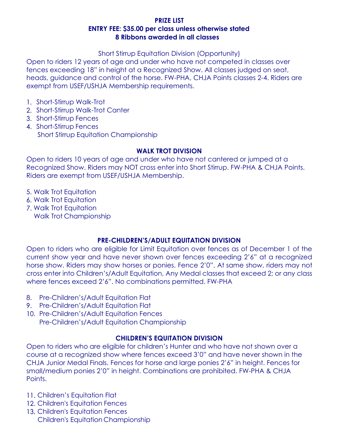### **PRIZE LIST ENTRY FEE: \$35.00 per class unless otherwise stated 8 Ribbons awarded in all classes**

Short Stirrup Equitation Division (Opportunity)

Open to riders 12 years of age and under who have not competed in classes over fences exceeding 18" in height at a Recognized Show. All classes judged on seat, heads, guidance and control of the horse. FW-PHA, CHJA Points classes 2-4. Riders are exempt from USEF/USHJA Membership requirements.

- 1. Short-Stirrup Walk-Trot
- 2. Short-Stirrup Walk-Trot Canter
- 3. Short-Stirrup Fences
- 4. Short-Stirrup Fences Short Stirrup Equitation Championship

### **WALK TROT DIVISION**

Open to riders 10 years of age and under who have not cantered or jumped at a Recognized Show. Riders may NOT cross enter into Short Stirrup. FW-PHA & CHJA Points. Riders are exempt from USEF/USHJA Membership.

- Walk Trot Equitation
- Walk Trot Equitation
- Walk Trot Equitation
	- Walk Trot Championship

# **PRE-CHILDREN'S/ADULT EQUITATION DIVISION**

Open to riders who are eligible for Limit Equitation over fences as of December 1 of the current show year and have never shown over fences exceeding 2'6" at a recognized horse show. Riders may show horses or ponies. Fence 2'0". At same show, riders may not cross enter into Children's/Adult Equitation, Any Medal classes that exceed 2; or any class where fences exceed 2'6". No combinations permitted. FW-PHA

- 8. Pre-Children's/Adult Equitation Flat
- 9. Pre-Children's/Adult Equitation Flat
- 10. Pre-Children's/Adult Equitation Fences Pre-Children's/Adult Equitation Championship

# **CHILDREN'S EQUITATION DIVISION**

Open to riders who are eligible for children's Hunter and who have not shown over a course at a recognized show where fences exceed 3'0" and have never shown in the CHJA Junior Medal Finals. Fences for horse and large ponies 2'6" in height. Fences for small/medium ponies 2'0" in height. Combinations are prohibited. FW-PHA & CHJA Points.

- Children's Equitation Flat
- 12. Children's Equitation Fences
- 13. Children's Equitation Fences Children's Equitation Championship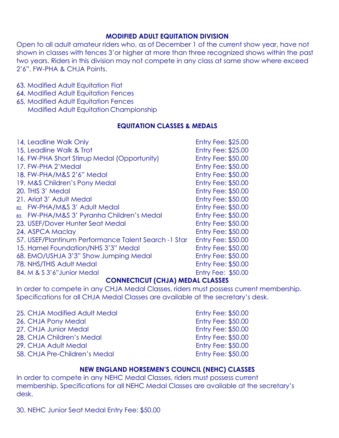### **MODIFIED ADULT EQUITATION DIVISION**

Open to all adult amateur riders who, as of December 1 of the current show year, have not shown in classes with fences 3'or higher at more than three recognized shows within the past two years. Riders in this division may not compete in any class at same show where exceed 2'6". FW-PHA & CHJA Points.

- 63. Modified Adult Equitation Flat
- 64. Modified Adult Equitation Fences
- **65. Modified Adult Equitation Fences** Modified Adult Equitation Championship

#### **EQUITATION CLASSES & MEDALS**

| 14. Leadline Walk Only                               | <b>Entry Fee: \$25.00</b> |
|------------------------------------------------------|---------------------------|
| 15. Leadline Walk & Trot                             | <b>Entry Fee: \$25.00</b> |
| 16. FW-PHA Short Stirrup Medal (Opportunity)         | <b>Entry Fee: \$50.00</b> |
| 17. FW-PHA 2'Medal                                   | <b>Entry Fee: \$50.00</b> |
| 18. FW-PHA/M&S 2'6" Medal                            | <b>Entry Fee: \$50.00</b> |
| 19. M&S Children's Pony Medal                        | <b>Entry Fee: \$50.00</b> |
| 20. THIS 3' Medal                                    | <b>Entry Fee: \$50.00</b> |
| 21. Ariat 3' Adult Medal                             | <b>Entry Fee: \$50.00</b> |
| 82. FW-PHA/M&S 3' Adult Medal                        | <b>Entry Fee: \$50.00</b> |
| 83. FW-PHA/M&S 3' Pyranha Children's Medal           | <b>Entry Fee: \$50.00</b> |
| 23. USEF/Dover Hunter Seat Medal                     | <b>Entry Fee: \$50.00</b> |
| 24. ASPCA Maclay                                     | <b>Entry Fee: \$50.00</b> |
| 57. USEF/Plantinum Performance Talent Search -1 Star | <b>Entry Fee: \$50.00</b> |
| 15. Hamel Foundation/NHS 3'3" Medal                  | <b>Entry Fee: \$50.00</b> |
| 68. EMO/USHJA 3'3" Show Jumping Medal                | <b>Entry Fee: \$50.00</b> |
| 78. NHS/THIS Adult Medal                             | <b>Entry Fee: \$50.00</b> |
| 84. M & S 3'6" Junior Medal                          | <b>Entry Fee: \$50.00</b> |

#### **CONNECTICUT (CHJA) MEDAL CLASSES**

In order to compete in any CHJA Medal Classes, riders must possess current membership. Specifications for all CHJA Medal Classes are available at the secretary's desk.

- 25. CHJA Modified Adult Medal **Entry Fee: \$50.00** 26. CHJA Pony Medal **Entry Fee: \$50.00** 27. CHJA Junior Medal **Entry Fee: \$50.00** 28. CHJA Children's Medal **Entry Fee: \$50.00** 29. CHJA Adult Medal **Entry Fee: \$50.00** 58. CHJA Pre-Children's Medal Entry Fee: \$50.00
	-

### **NEW ENGLAND HORSEMEN'S COUNCIL (NEHC) CLASSES**

In order to compete in any NEHC Medal Classes, riders must possess current membership. Specifications for all NEHC Medal Classes are available at the secretary's desk.

30. NEHC Junior Seat Medal Entry Fee: \$50.00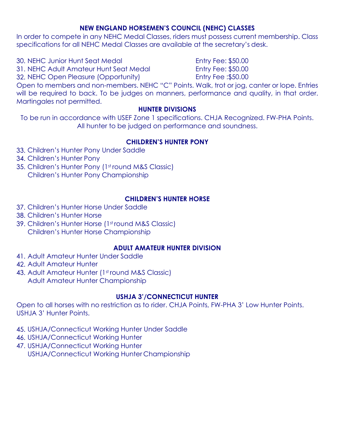### **NEW ENGLAND HORSEMEN'S COUNCIL (NEHC) CLASSES**

In order to compete in any NEHC Medal Classes, riders must possess current membership. Class specifications for all NEHC Medal Classes are available at the secretary's desk.

30. NEHC Junior Hunt Seat Medal **Entry Fee: \$50.00** 

31. NEHC Adult Amateur Hunt Seat Medal Entry Fee: \$50.00

NEHC Open Pleasure (Opportunity) Entry Fee :\$50.00

Open to members and non-members. NEHC "C" Points. Walk, trot or jog, canter or lope. Entries will be required to back. To be judges on manners, performance and quality, in that order. Martingales not permitted.

### **HUNTER DIVISIONS**

To be run in accordance with USEF Zone 1 specifications. CHJA Recognized. FW-PHA Points. All hunter to be judged on performance and soundness.

# **CHILDREN'S HUNTER PONY**

- 33. Children's Hunter Pony Under Saddle
- 34. Children's Hunter Pony
- 35. Children's Hunter Pony (1st round M&S Classic) Children's Hunter Pony Championship

# **CHILDREN'S HUNTER HORSE**

- 37. Children's Hunter Horse Under Saddle
- Children's Hunter Horse
- 39. Children's Hunter Horse (1st round M&S Classic) Children's Hunter Horse Championship

# **ADULT AMATEUR HUNTER DIVISION**

- Adult Amateur Hunter Under Saddle
- Adult Amateur Hunter
- 43. Adult Amateur Hunter (1st round M&S Classic) Adult Amateur Hunter Championship

# **USHJA 3'/CONNECTICUT HUNTER**

Open to all horses with no restriction as to rider. CHJA Points, FW-PHA 3' Low Hunter Points. USHJA 3' Hunter Points.

- USHJA/Connecticut Working Hunter Under Saddle
- 46. USHJA/Connecticut Working Hunter
- 47. USHJA/Connecticut Working Hunter

USHJA/Connecticut Working Hunter Championship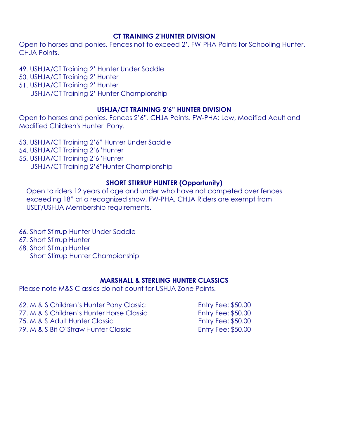#### **CT TRAINING 2'HUNTER DIVISION**

Open to horses and ponies. Fences not to exceed 2'. FW-PHA Points for Schooling Hunter. CHJA Points.

- USHJA/CT Training 2' Hunter Under Saddle
- 50. USHJA/CT Training 2' Hunter
- 51. USHJA/CT Training 2' Hunter
	- USHJA/CT Training 2' Hunter Championship

### **USHJA/CT TRAINING 2'6" HUNTER DIVISION**

Open to horses and ponies. Fences 2'6". CHJA Points. FW-PHA: Low, Modified Adult and Modified Children's Hunter Pony.

- USHJA/CT Training 2'6" Hunter Under Saddle
- USHJA/CT Training 2'6"Hunter
- USHJA/CT Training 2'6"Hunter USHJA/CT Training 2'6"Hunter Championship

### **SHORT STIRRUP HUNTER (Opportunity)**

Open to riders 12 years of age and under who have not competed over fences exceeding 18" at a recognized show, FW-PHA, CHJA Riders are exempt from USEF/USHJA Membership requirements.

- 66. Short Stirrup Hunter Under Saddle
- **67. Short Stirrup Hunter**
- 68. Short Stirrup Hunter Short Stirrup Hunter Championship

# **MARSHALL & STERLING HUNTER CLASSICS**

Please note M&S Classics do not count for USHJA Zone Points.

| 62. M & S Children's Hunter Pony Classic  | <b>Entry Fee: \$50.00</b> |
|-------------------------------------------|---------------------------|
| 77. M & S Children's Hunter Horse Classic | <b>Entry Fee: \$50.00</b> |
| 75. M & S Adult Hunter Classic            | <b>Entry Fee: \$50.00</b> |
| 79. M & S Bit O'Straw Hunter Classic      | <b>Entry Fee: \$50.00</b> |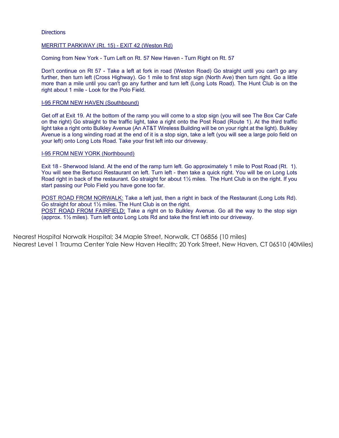#### **Directions**

#### MERRITT PARKWAY (Rt. 15) - EXIT 42 (Weston Rd)

Coming from New York - Turn Left on Rt. 57 New Haven - Turn Right on Rt. 57

Don't continue on Rt 57 - Take a left at fork in road (Weston Road) Go straight until you can't go any further, then turn left (Cross Highway). Go 1 mile to first stop sign (North Ave) then turn right. Go a little more than a mile until you can't go any further and turn left (Long Lots Road). The Hunt Club is on the right about 1 mile - Look for the Polo Field.

#### I-95 FROM NEW HAVEN (Southbound)

Get off at Exit 19. At the bottom of the ramp you will come to a stop sign (you will see The Box Car Cafe on the right) Go straight to the traffic light, take a right onto the Post Road (Route 1). At the third traffic light take a right onto Bulkley Avenue (An AT&T Wireless Building will be on your right at the light). Bulkley Avenue is a long winding road at the end of it is a stop sign, take a left (you will see a large polo field on your left) onto Long Lots Road. Take your first left into our driveway.

#### I-95 FROM NEW YORK (Northbound)

Exit 18 - Sherwood Island. At the end of the ramp turn left. Go approximately 1 mile to Post Road (Rt. 1). You will see the Bertucci Restaurant on left. Turn left - then take a quick right. You will be on Long Lots Road right in back of the restaurant. Go straight for about 1½ miles. The Hunt Club is on the right. If you start passing our Polo Field you have gone too far.

POST ROAD FROM NORWALK: Take a left just, then a right in back of the Restaurant (Long Lots Rd). Go straight for about 1½ miles. The Hunt Club is on the right. POST ROAD FROM FAIRFIELD: Take a right on to Bulkley Avenue. Go all the way to the stop sign (approx. 1½ miles). Turn left onto Long Lots Rd and take the first left into our driveway.

Nearest Hospital Norwalk Hospital; 34 Maple Street, Norwalk, CT 06856 (10 miles) Nearest Level 1 Trauma Center Yale New Haven Health; 20 York Street, New Haven, CT 06510 (40Miles)